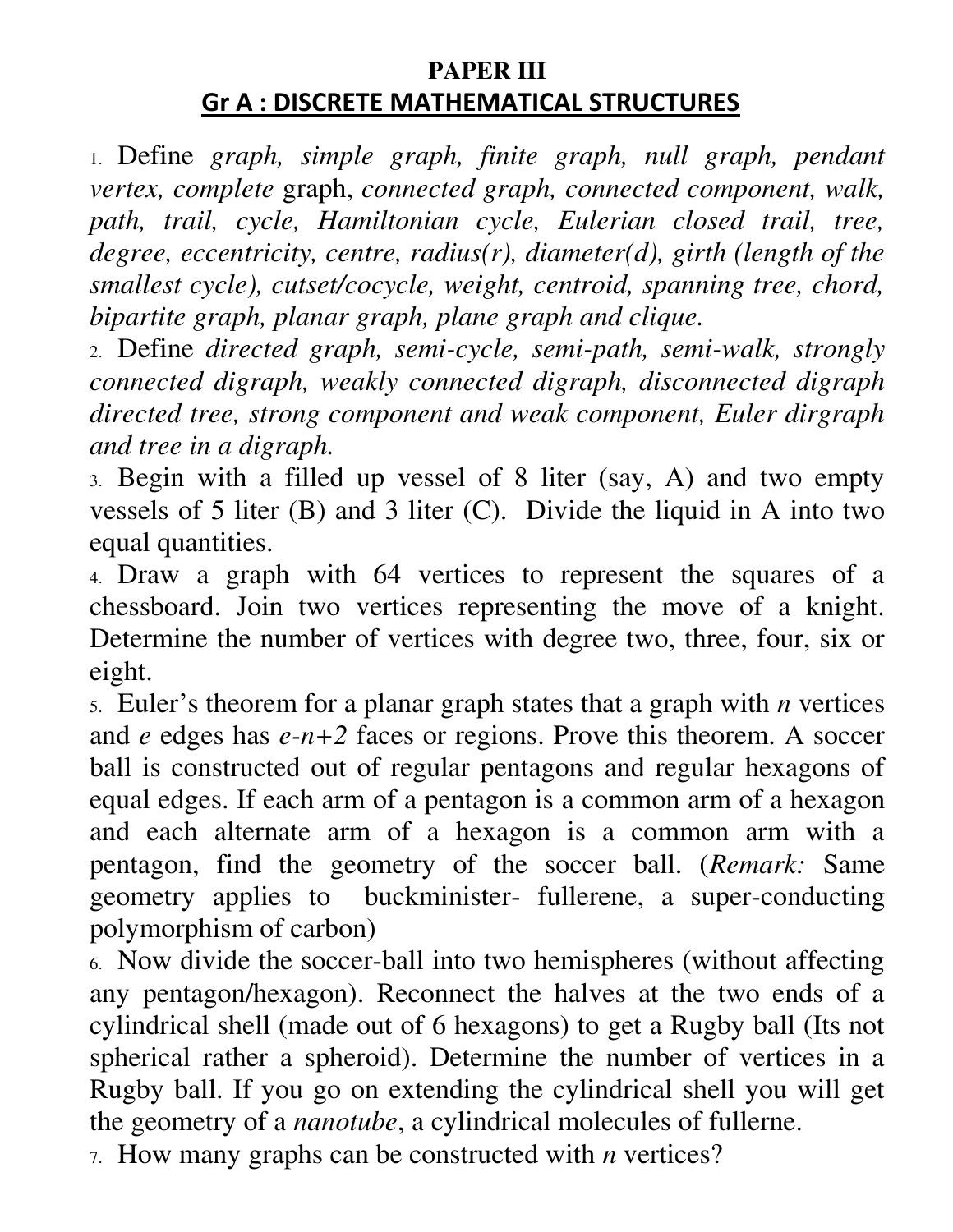## **PAPER III Gr A : DISCRETE MATHEMATICAL STRUCTURES**

1. Define *graph, simple graph, finite graph, null graph, pendant vertex, complete* graph, *connected graph, connected component, walk, path, trail, cycle, Hamiltonian cycle, Eulerian closed trail, tree, degree, eccentricity, centre, radius(r), diameter(d), girth (length of the smallest cycle), cutset/cocycle, weight, centroid, spanning tree, chord, bipartite graph, planar graph, plane graph and clique.*

2. Define *directed graph, semi-cycle, semi-path, semi-walk, strongly connected digraph, weakly connected digraph, disconnected digraph directed tree, strong component and weak component, Euler dirgraph and tree in a digraph.* 

3. Begin with a filled up vessel of 8 liter (say, A) and two empty vessels of 5 liter (B) and 3 liter (C). Divide the liquid in A into two equal quantities.

4. Draw a graph with 64 vertices to represent the squares of a chessboard. Join two vertices representing the move of a knight. Determine the number of vertices with degree two, three, four, six or eight.

5. Euler's theorem for a planar graph states that a graph with *n* vertices and *e* edges has *e-n+2* faces or regions. Prove this theorem. A soccer ball is constructed out of regular pentagons and regular hexagons of equal edges. If each arm of a pentagon is a common arm of a hexagon and each alternate arm of a hexagon is a common arm with a pentagon, find the geometry of the soccer ball. (*Remark:* Same geometry applies to buckminister- fullerene, a super-conducting polymorphism of carbon)

6. Now divide the soccer-ball into two hemispheres (without affecting any pentagon/hexagon). Reconnect the halves at the two ends of a cylindrical shell (made out of 6 hexagons) to get a Rugby ball (Its not spherical rather a spheroid). Determine the number of vertices in a Rugby ball. If you go on extending the cylindrical shell you will get the geometry of a *nanotube*, a cylindrical molecules of fullerne.

7. How many graphs can be constructed with *n* vertices?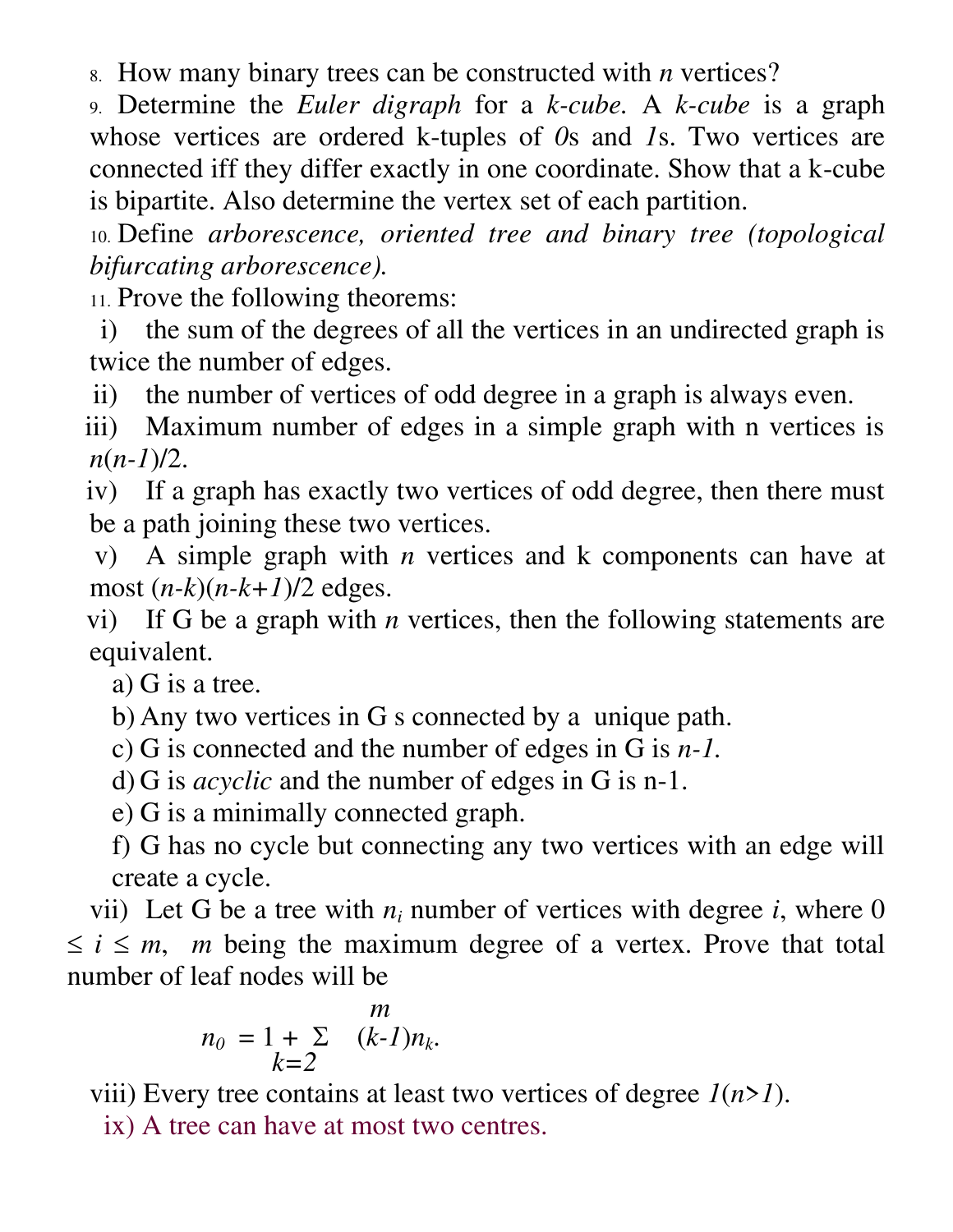8. How many binary trees can be constructed with *n* vertices?

9. Determine the *Euler digraph* for a *k-cube.* A *k-cube* is a graph whose vertices are ordered k-tuples of *0*s and *1*s. Two vertices are connected iff they differ exactly in one coordinate. Show that a k-cube is bipartite. Also determine the vertex set of each partition.

10. Define *arborescence, oriented tree and binary tree (topological bifurcating arborescence).*

11. Prove the following theorems:

i) the sum of the degrees of all the vertices in an undirected graph is twice the number of edges.

ii) the number of vertices of odd degree in a graph is always even.

iii) Maximum number of edges in a simple graph with n vertices is *n*(*n-1*)/2.

iv) If a graph has exactly two vertices of odd degree, then there must be a path joining these two vertices.

v) A simple graph with *n* vertices and k components can have at most  $(n-k)(n-k+1)/2$  edges.

vi) If G be a graph with *n* vertices, then the following statements are equivalent.

a) G is a tree.

b) Any two vertices in G s connected by a unique path.

- c) G is connected and the number of edges in G is *n-1.*
- d) G is *acyclic* and the number of edges in G is n-1.

e) G is a minimally connected graph.

f) G has no cycle but connecting any two vertices with an edge will create a cycle.

vii) Let G be a tree with  $n_i$  number of vertices with degree *i*, where 0  $\leq i \leq m$ , *m* being the maximum degree of a vertex. Prove that total number of leaf nodes will be

$$
n_0 = 1 + \sum_{k=2}^m (k-1)n_k.
$$

viii) Every tree contains at least two vertices of degree *1*(*n*>*1*).

ix) A tree can have at most two centres.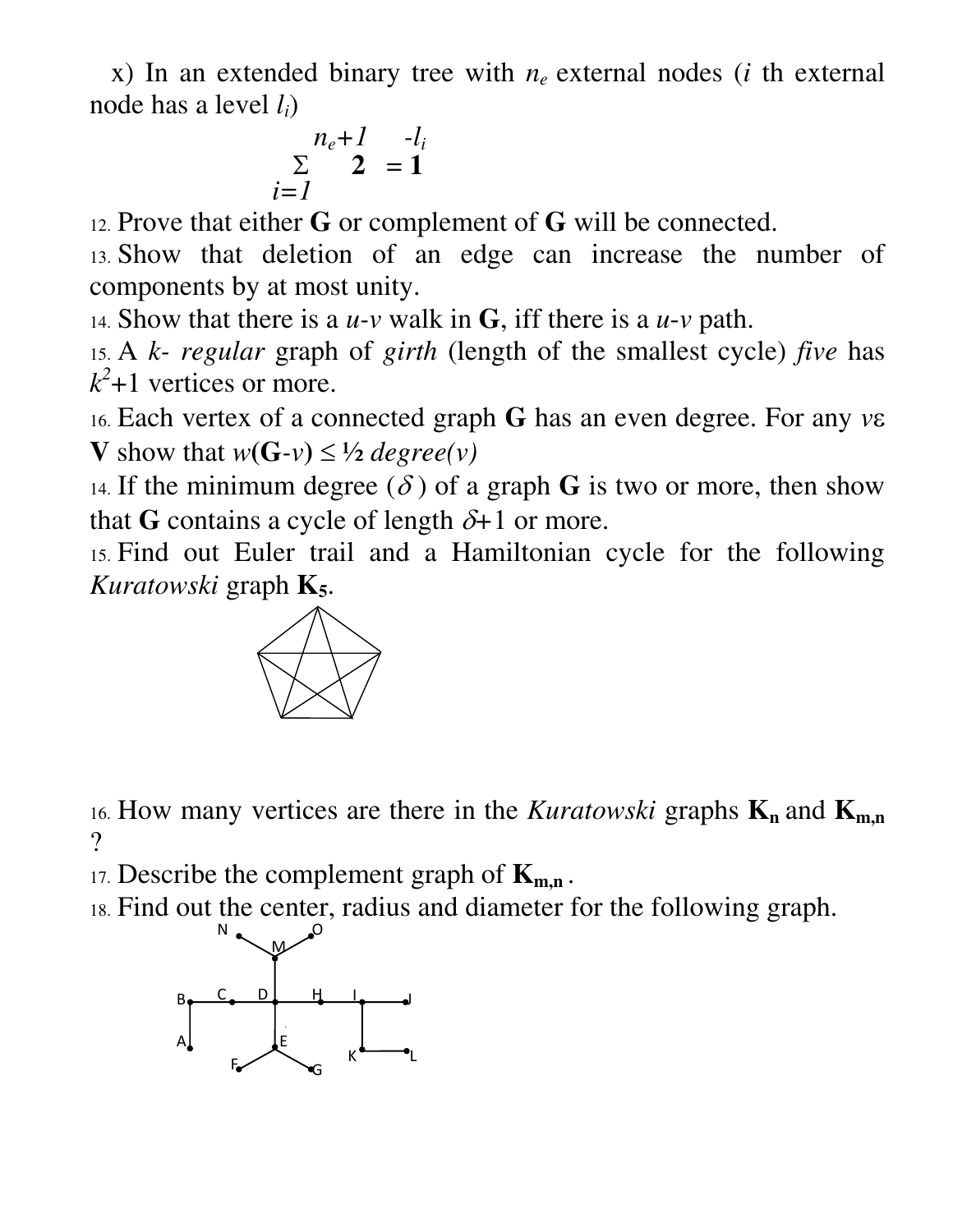x) In an extended binary tree with *n<sup>e</sup>* external nodes (*i* th external node has a level *li*)

$$
n_e+1- l_i
$$
  

$$
\sum_{i=1}^n 2 = 1
$$

12. Prove that either **G** or complement of **G** will be connected.

13. Show that deletion of an edge can increase the number of components by at most unity.

14. Show that there is a *u-v* walk in **G**, iff there is a *u*-*v* path.

15. A *k- regular* graph of *girth* (length of the smallest cycle) *five* has  $k^2$ +1 vertices or more.

16. Each vertex of a connected graph **G** has an even degree. For any *v* **V** show that  $w(G-v) \leq \frac{1}{2}$  degree(v)

14. If the minimum degree  $(\delta)$  of a graph **G** is two or more, then show that **G** contains a cycle of length  $\delta+1$  or more.

15. Find out Euler trail and a Hamiltonian cycle for the following *Kuratowski* graph **K5**.



16. How many vertices are there in the *Kuratowski* graphs  $K_n$  and  $K_{m,n}$  $\gamma$ 

17. Describe the complement graph of **Km,n** .

18. Find out the center, radius and diameter for the following graph.

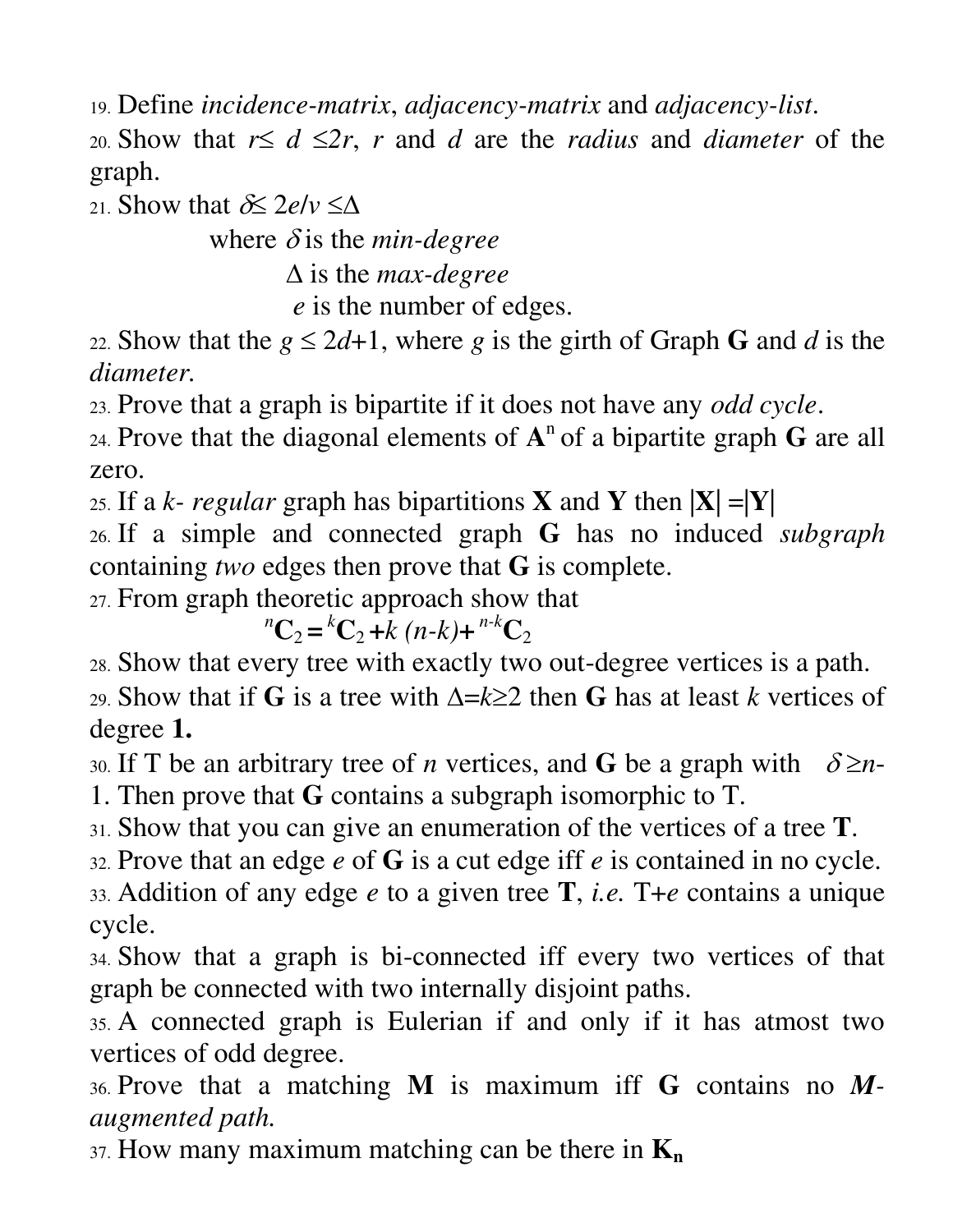19. Define *incidence-matrix*, *adjacency-matrix* and *adjacency-list*.

20. Show that  $r \leq d \leq 2r$ , *r* and *d* are the *radius* and *diameter* of the graph.

21. Show that  $\delta \leq 2e/v \leq \Delta$ 

where  $\delta$  is the *min-degree* 

 is the *max-degree*

 *e* is the number of edges.

22. Show that the  $g \le 2d+1$ , where *g* is the girth of Graph **G** and *d* is the *diameter.*

23. Prove that a graph is bipartite if it does not have any *odd cycle*.

24. Prove that the diagonal elements of  $A<sup>n</sup>$  of a bipartite graph **G** are all zero.

25. If a *k- regular* graph has bipartitions **X** and **Y** then |**X**| =|**Y**|

26. If a simple and connected graph **G** has no induced *subgraph* containing *two* edges then prove that **G** is complete.

27. From graph theoretic approach show that

 $^{n}C_{2} = ^{k}C_{2} + k(n-k) + ^{n-k}C_{2}$ 

28. Show that every tree with exactly two out-degree vertices is a path.

29. Show that if **G** is a tree with  $\Delta = k \geq 2$  then **G** has at least *k* vertices of degree **1.** 

30. If T be an arbitrary tree of *n* vertices, and **G** be a graph with  $\delta \ge n$ -1. Then prove that **G** contains a subgraph isomorphic to T.

31. Show that you can give an enumeration of the vertices of a tree **T**.

32. Prove that an edge *e* of **G** is a cut edge iff *e* is contained in no cycle.

33. Addition of any edge *e* to a given tree **T**, *i.e.* T+*e* contains a unique cycle.

34. Show that a graph is bi-connected iff every two vertices of that graph be connected with two internally disjoint paths.

35. A connected graph is Eulerian if and only if it has atmost two vertices of odd degree.

36. Prove that a matching **M** is maximum iff **G** contains no *Maugmented path.*

37. How many maximum matching can be there in **K<sup>n</sup>**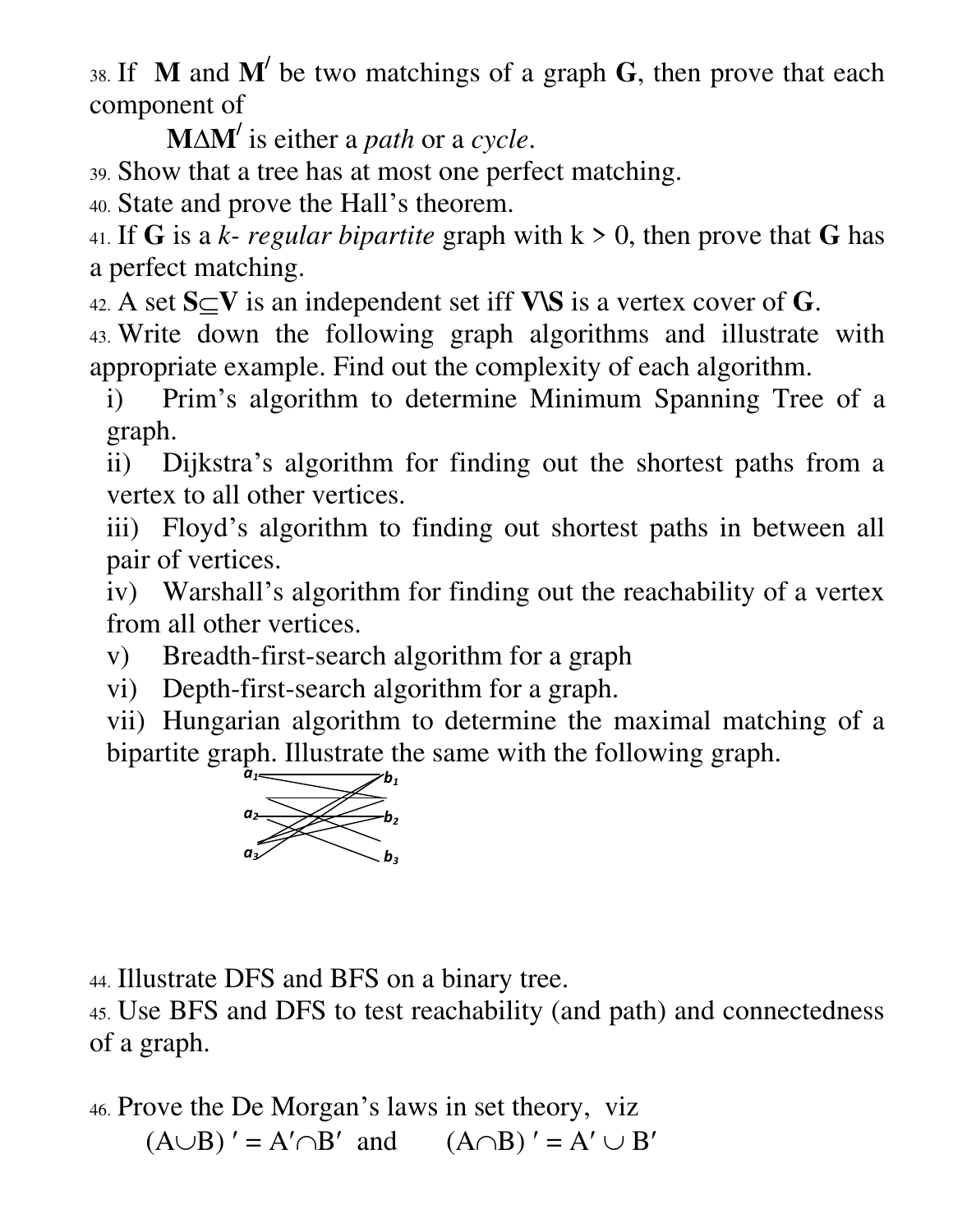38. If **M** and **M/** be two matchings of a graph **G**, then prove that each component of

**MM/** is either a *path* or a *cycle*.

39. Show that a tree has at most one perfect matching.

40. State and prove the Hall's theorem.

41. If **G** is a *k*- *regular bipartite* graph with  $k > 0$ , then prove that **G** has a perfect matching.

42. A set  $S \subseteq V$  is an independent set iff  $V \setminus S$  is a vertex cover of G.

43. Write down the following graph algorithms and illustrate with appropriate example. Find out the complexity of each algorithm.

i) Prim's algorithm to determine Minimum Spanning Tree of a graph.

ii) Dijkstra's algorithm for finding out the shortest paths from a vertex to all other vertices.

iii) Floyd's algorithm to finding out shortest paths in between all pair of vertices.

iv) Warshall's algorithm for finding out the reachability of a vertex from all other vertices.

v) Breadth-first-search algorithm for a graph

vi) Depth-first-search algorithm for a graph.

vii) Hungarian algorithm to determine the maximal matching of a bipartite graph. Illustrate the same with the following graph.



44. Illustrate DFS and BFS on a binary tree.

45. Use BFS and DFS to test reachability (and path) and connectedness of a graph.

46. Prove the De Morgan's laws in set theory, viz

 $(A \cup B)' = A' \cap B'$  and  $(A \cap B)' = A' \cup B'$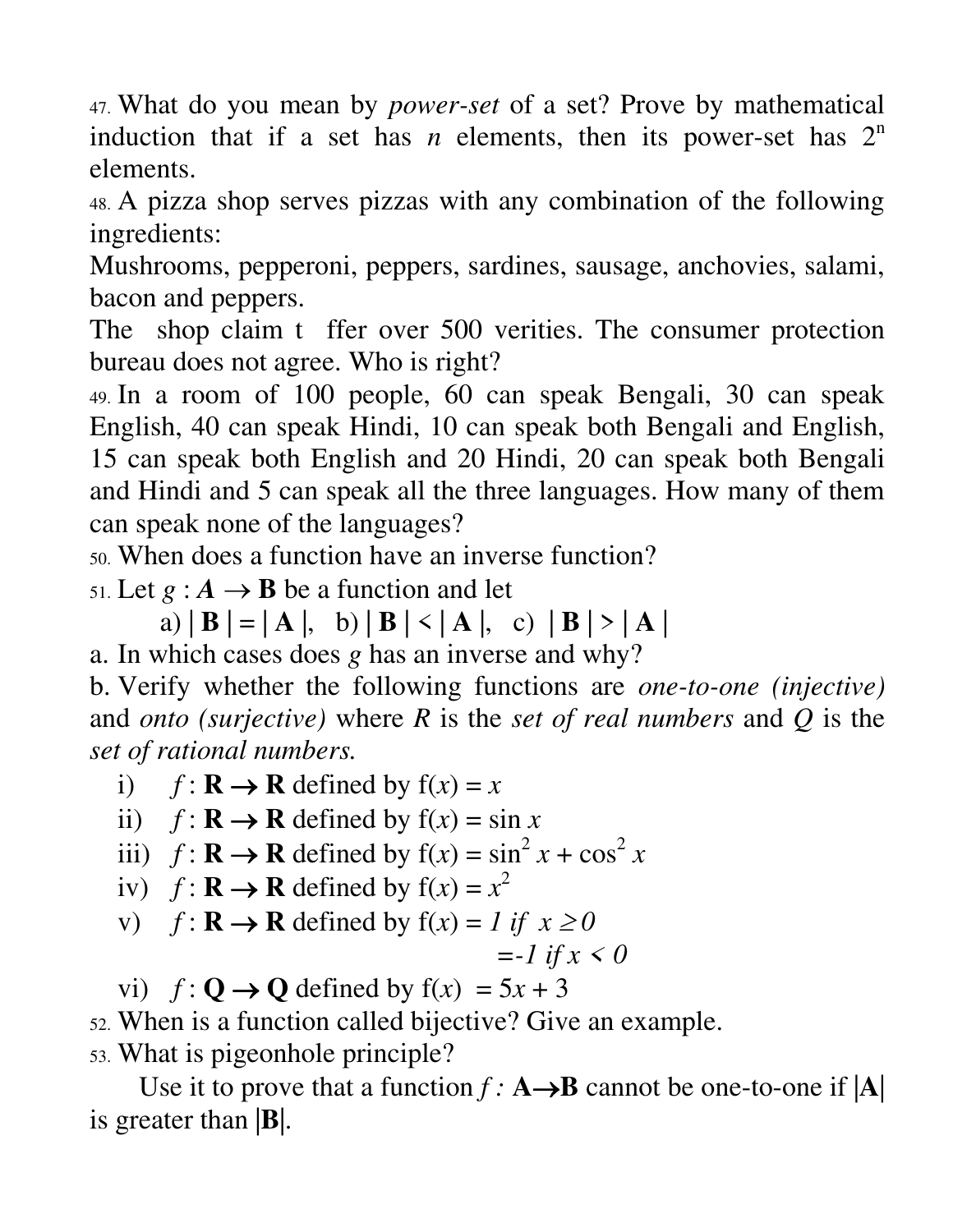47. What do you mean by *power-set* of a set? Prove by mathematical induction that if a set has *n* elements, then its power-set has  $2<sup>n</sup>$ elements.

48. A pizza shop serves pizzas with any combination of the following ingredients:

Mushrooms, pepperoni, peppers, sardines, sausage, anchovies, salami, bacon and peppers.

The shop claim t ffer over 500 verities. The consumer protection bureau does not agree. Who is right?

49. In a room of 100 people, 60 can speak Bengali, 30 can speak English, 40 can speak Hindi, 10 can speak both Bengali and English, 15 can speak both English and 20 Hindi, 20 can speak both Bengali and Hindi and 5 can speak all the three languages. How many of them can speak none of the languages?

50. When does a function have an inverse function?

51. Let  $g : A \rightarrow B$  be a function and let

 $\mathbf{a}$ )  $\mathbf{B} = \mathbf{A}$ ,  $\mathbf{b}$ )  $\mathbf{B} \leq \mathbf{A}$ ,  $\mathbf{c}$ )  $\mathbf{B} \geq \mathbf{A}$ a. In which cases does *g* has an inverse and why?

b. Verify whether the following functions are *one-to-one (injective)* and *onto (surjective)* where *R* is the *set of real numbers* and *Q* is the *set of rational numbers.*

i)  $f: \mathbf{R} \to \mathbf{R}$  defined by  $f(x) = x$ 

ii)  $f: \mathbf{R} \to \mathbf{R}$  defined by  $f(x) = \sin x$ 

- iii)  $f: \mathbf{R} \to \mathbf{R}$  defined by  $f(x) = \sin^2 x + \cos^2 x$
- iv)  $f: \mathbf{R} \to \mathbf{R}$  defined by  $f(x) = x^2$
- v)  $f: \mathbf{R} \to \mathbf{R}$  defined by  $f(x) = 1$  if  $x \ge 0$

$$
=-1 \text{ if } x < 0
$$

vi)  $f: \mathbf{Q} \to \mathbf{Q}$  defined by  $f(x) = 5x + 3$ 

52. When is a function called bijective? Give an example.

53. What is pigeonhole principle?

Use it to prove that a function  $f : A \rightarrow B$  cannot be one-to-one if  $|A|$ is greater than |**B**|.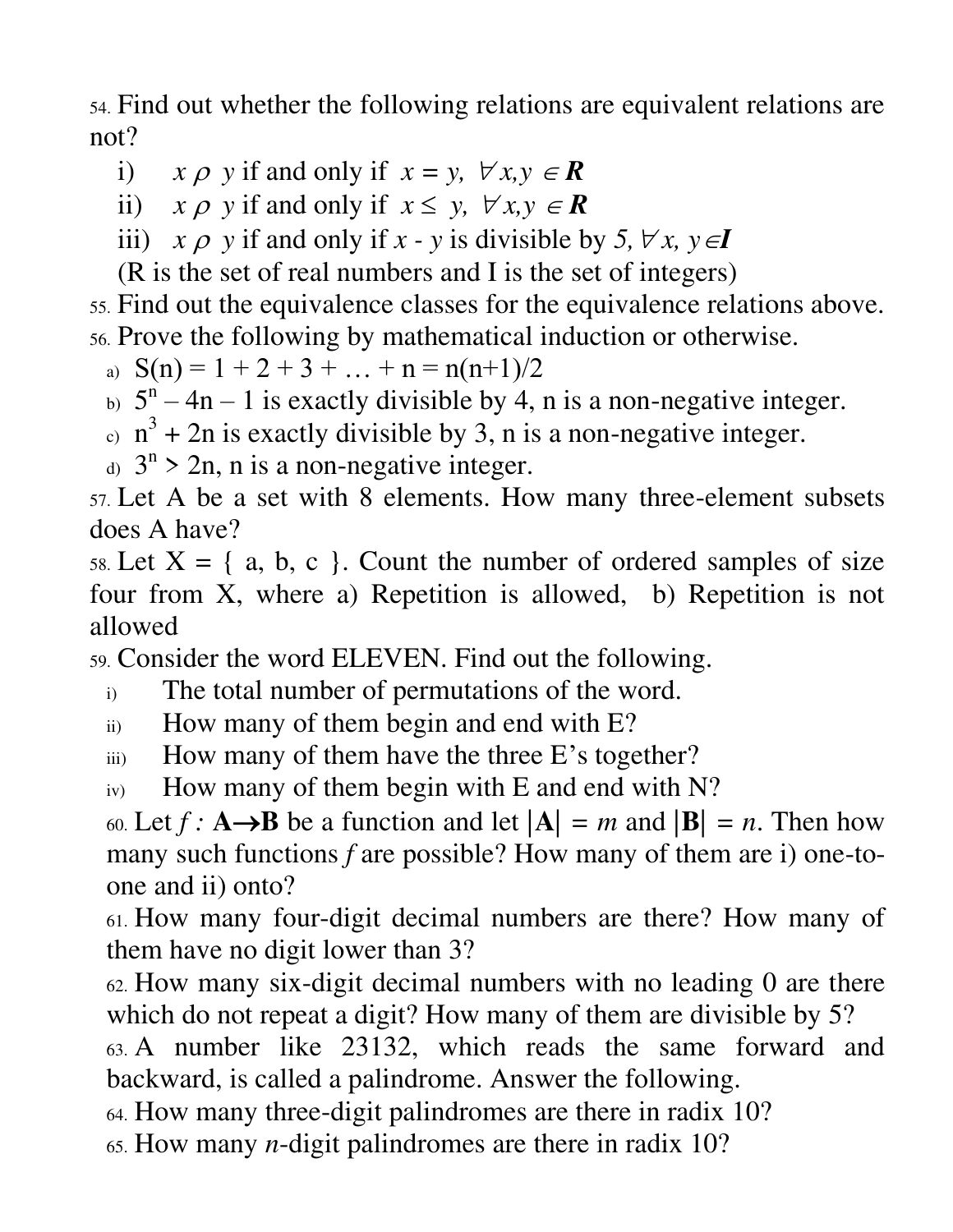54. Find out whether the following relations are equivalent relations are not?

i)  $x \rho y$  if and only if  $x = y$ ,  $\forall x, y \in \mathbb{R}$ 

ii)  $x \rho$  y if and only if  $x \leq y$ ,  $\forall x, y \in \mathbb{R}$ 

iii)  $x \rho$  y if and only if  $x - y$  is divisible by 5,  $\forall x, y \in I$ 

(R is the set of real numbers and I is the set of integers)

55. Find out the equivalence classes for the equivalence relations above. 56. Prove the following by mathematical induction or otherwise.

a)  $S(n) = 1 + 2 + 3 + ... + n = n(n+1)/2$ 

- b)  $5^n 4n 1$  is exactly divisible by 4, n is a non-negative integer.
- $\alpha$  n<sup>3</sup> + 2n is exactly divisible by 3, n is a non-negative integer.
- d)  $3^n > 2n$ , n is a non-negative integer.

57. Let A be a set with 8 elements. How many three-element subsets does A have?

58. Let  $X = \{a, b, c\}$ . Count the number of ordered samples of size four from X, where a) Repetition is allowed, b) Repetition is not allowed

59. Consider the word ELEVEN. Find out the following.

- i) The total number of permutations of the word.
- ii) How many of them begin and end with E?
- iii) How many of them have the three E's together?
- iv) How many of them begin with E and end with N?

60. Let  $f: \mathbf{A} \rightarrow \mathbf{B}$  be a function and let  $|\mathbf{A}| = m$  and  $|\mathbf{B}| = n$ . Then how many such functions *f* are possible? How many of them are i) one-toone and ii) onto?

61. How many four-digit decimal numbers are there? How many of them have no digit lower than 3?

62. How many six-digit decimal numbers with no leading 0 are there which do not repeat a digit? How many of them are divisible by 5?

63. A number like 23132, which reads the same forward and backward, is called a palindrome. Answer the following.

64. How many three-digit palindromes are there in radix 10?

65. How many *n*-digit palindromes are there in radix 10?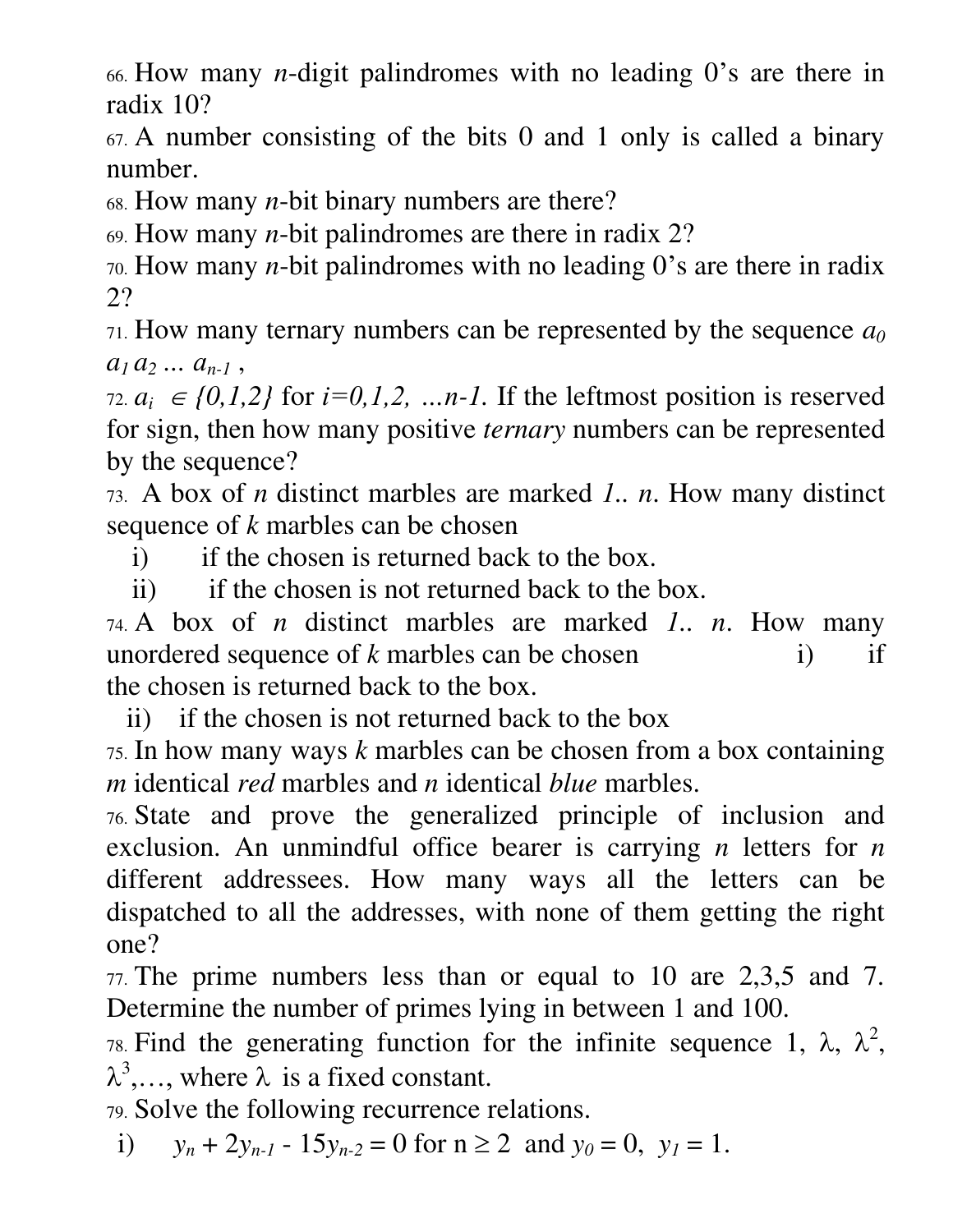66. How many *n*-digit palindromes with no leading 0's are there in radix 10?

67. A number consisting of the bits 0 and 1 only is called a binary number.

68. How many *n*-bit binary numbers are there?

69. How many *n*-bit palindromes are there in radix 2?

70. How many *n*-bit palindromes with no leading 0's are there in radix 2?

71. How many ternary numbers can be represented by the sequence *a<sup>0</sup>*  $a_1 a_2 ... a_{n-1}$ 

72.  $a_i \in \{0,1,2\}$  for  $i=0,1,2, \ldots n-1$ . If the leftmost position is reserved for sign, then how many positive *ternary* numbers can be represented by the sequence?

73. A box of *n* distinct marbles are marked *1.. n*. How many distinct sequence of *k* marbles can be chosen

i) if the chosen is returned back to the box.

ii) if the chosen is not returned back to the box.

74. A box of *n* distinct marbles are marked *1.. n*. How many unordered sequence of  $k$  marbles can be chosen i) if the chosen is returned back to the box.

ii) if the chosen is not returned back to the box

75. In how many ways *k* marbles can be chosen from a box containing *m* identical *red* marbles and *n* identical *blue* marbles.

76. State and prove the generalized principle of inclusion and exclusion. An unmindful office bearer is carrying *n* letters for *n*  different addressees. How many ways all the letters can be dispatched to all the addresses, with none of them getting the right one?

77. The prime numbers less than or equal to 10 are 2,3,5 and 7. Determine the number of primes lying in between 1 and 100.

78. Find the generating function for the infinite sequence 1, λ,  $\lambda^2$ ,  $\lambda^3, \ldots$ , where  $\lambda$  is a fixed constant.

79. Solve the following recurrence relations.

i)  $y_n + 2y_{n-1} - 15y_{n-2} = 0$  for  $n \ge 2$  and  $y_0 = 0$ ,  $y_1 = 1$ .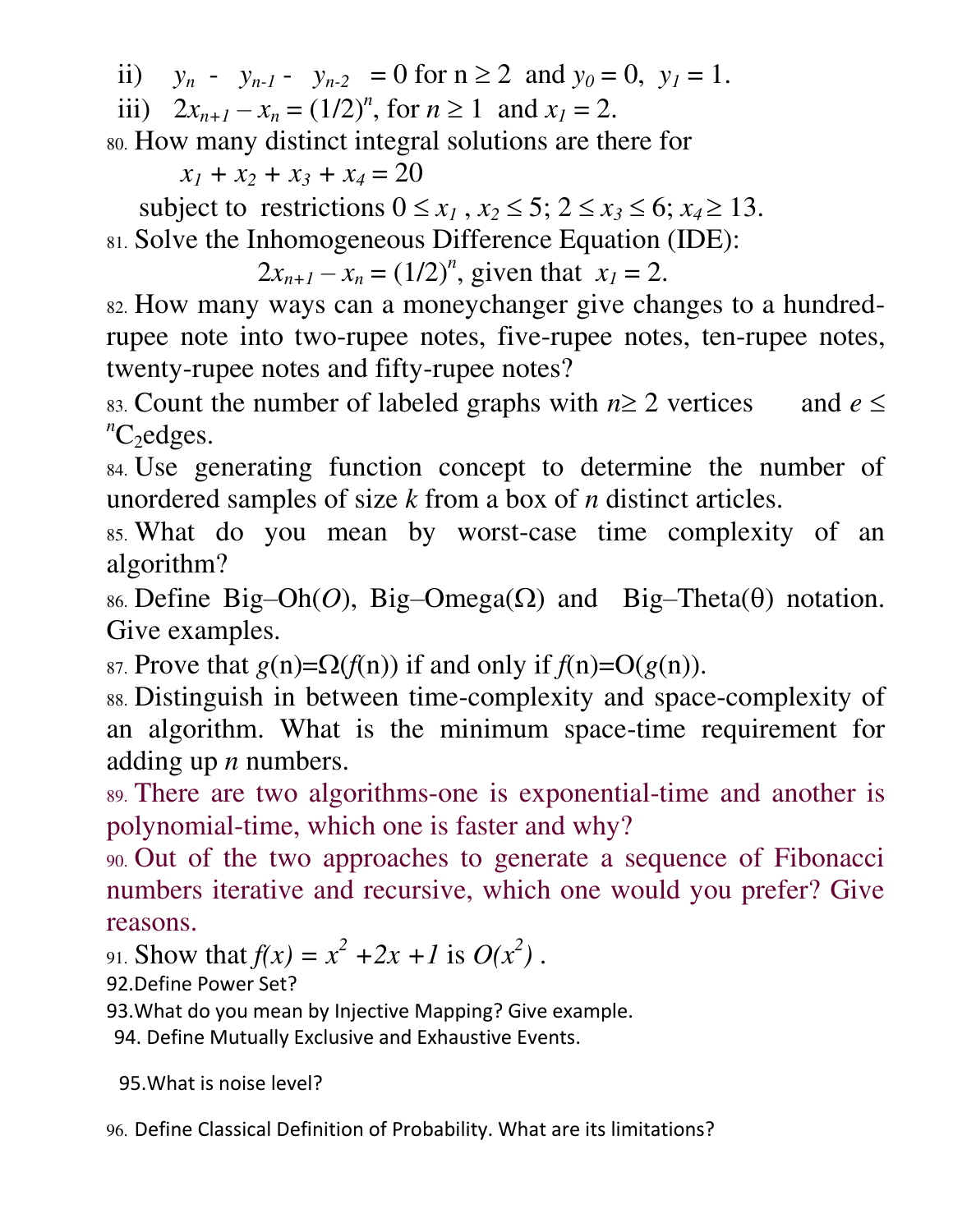ii)  $y_n - y_{n-1} - y_{n-2} = 0$  for  $n \ge 2$  and  $y_0 = 0$ ,  $y_1 = 1$ .

iii)  $2x_{n+1} - x_n = (1/2)^n$ , for  $n \ge 1$  and  $x_1 = 2$ .

80. How many distinct integral solutions are there for

 $x_1 + x_2 + x_3 + x_4 = 20$ 

subject to restrictions  $0 \le x_1$ ,  $x_2 \le 5$ ;  $2 \le x_3 \le 6$ ;  $x_4 \ge 13$ . 81. Solve the Inhomogeneous Difference Equation (IDE):

 $2x_{n+1} - x_n = (1/2)^n$ , given that  $x_1 = 2$ .

82. How many ways can a moneychanger give changes to a hundredrupee note into two-rupee notes, five-rupee notes, ten-rupee notes, twenty-rupee notes and fifty-rupee notes?

83. Count the number of labeled graphs with  $n \ge 2$  vertices and  $e \le$  ${}^nC_2$ edges.

84. Use generating function concept to determine the number of unordered samples of size *k* from a box of *n* distinct articles.

85. What do you mean by worst-case time complexity of an algorithm?

86. Define Big–Oh(O), Big–Omega( $\Omega$ ) and Big–Theta( $\theta$ ) notation. Give examples.

87. Prove that  $g(n)=\Omega(f(n))$  if and only if  $f(n)=O(g(n))$ .

88. Distinguish in between time-complexity and space-complexity of an algorithm. What is the minimum space-time requirement for adding up *n* numbers.

89. There are two algorithms-one is exponential-time and another is polynomial-time, which one is faster and why?

90. Out of the two approaches to generate a sequence of Fibonacci numbers iterative and recursive, which one would you prefer? Give reasons.

91. Show that  $f(x) = x^2 + 2x + 1$  is  $O(x^2)$ .

92.Define Power Set?

93.What do you mean by Injective Mapping? Give example.

94. Define Mutually Exclusive and Exhaustive Events.

95.What is noise level?

96. Define Classical Definition of Probability. What are its limitations?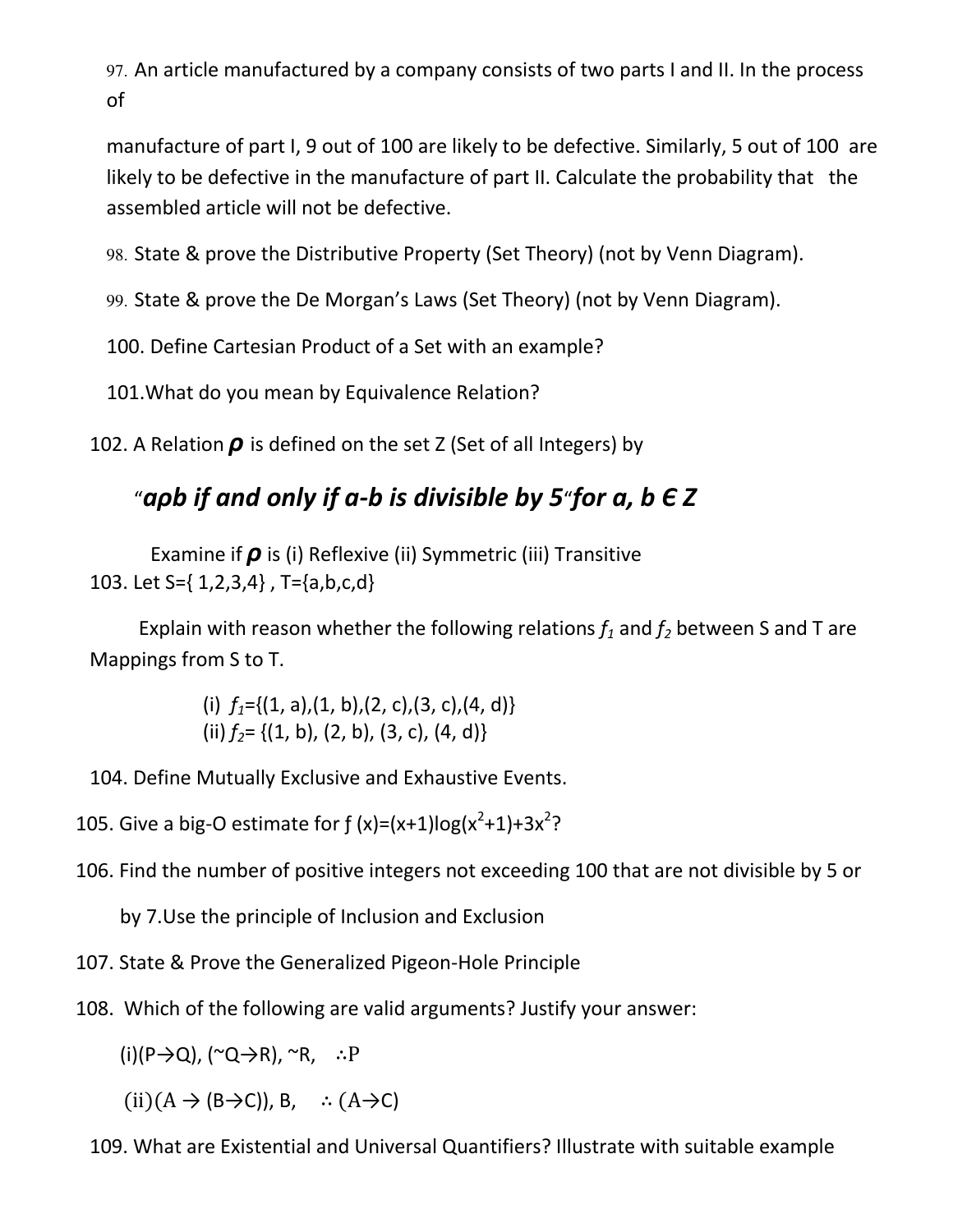97. An article manufactured by a company consists of two parts I and II. In the process of

manufacture of part I, 9 out of 100 are likely to be defective. Similarly, 5 out of 100 are likely to be defective in the manufacture of part II. Calculate the probability that the assembled article will not be defective.

98. State & prove the Distributive Property (Set Theory) (not by Venn Diagram).

99. State & prove the De Morgan's Laws (Set Theory) (not by Venn Diagram).

100. Define Cartesian Product of a Set with an example?

101.What do you mean by Equivalence Relation?

102. A Relation *ρ* is defined on the set Z (Set of all Integers) by

## "*aρb if and only if a-b is divisible by 5*"*for a, b Є Z*

 Examine if *ρ* is (i) Reflexive (ii) Symmetric (iii) Transitive 103. Let S={ 1,2,3,4} , T={a,b,c,d}

Explain with reason whether the following relations  $f_1$  and  $f_2$  between S and T are Mappings from S to T.

> (i)  $f_1 = \{(1, a), (1, b), (2, c), (3, c), (4, d)\}\$ (ii)  $f_2 = \{(1, b), (2, b), (3, c), (4, d)\}\$

104. Define Mutually Exclusive and Exhaustive Events.

105. Give a big-O estimate for  $f(x)=(x+1)\log(x^2+1)+3x^2$ ?

106. Find the number of positive integers not exceeding 100 that are not divisible by 5 or

by 7.Use the principle of Inclusion and Exclusion

107. State & Prove the Generalized Pigeon-Hole Principle

108. Which of the following are valid arguments? Justify your answer:

 $(i)(P\rightarrow Q)$ ,  $(\sim Q\rightarrow R)$ ,  $\sim R$ ,  $\therefore P$ 

 $(ii)(A \rightarrow (B \rightarrow C))$ , B,  $\therefore (A \rightarrow C)$ 

109. What are Existential and Universal Quantifiers? Illustrate with suitable example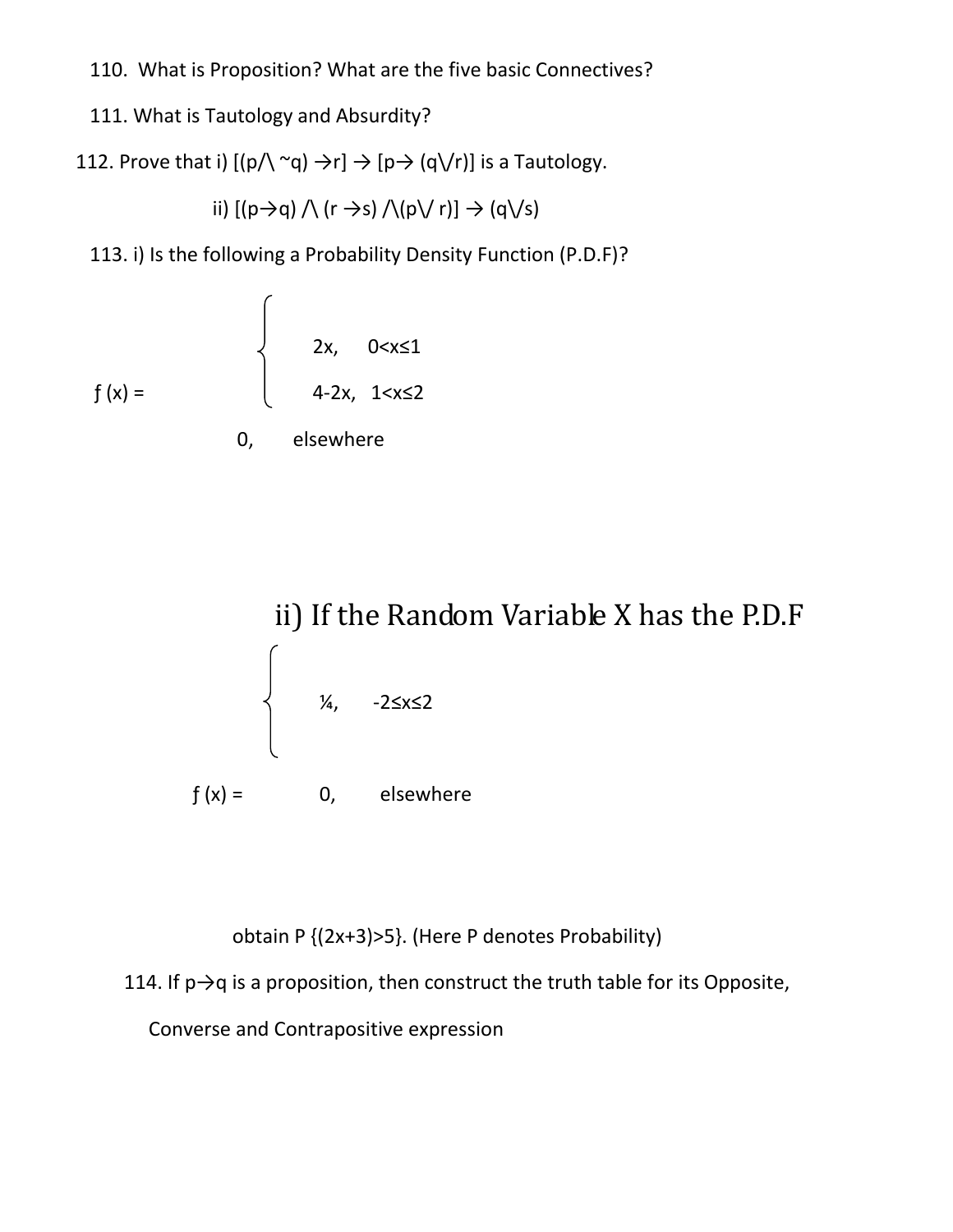110. What is Proposition? What are the five basic Connectives?

111. What is Tautology and Absurdity?

112. Prove that i)  $[(p/\n\alpha) \rightarrow r] \rightarrow [p \rightarrow (q\vee r)]$  is a Tautology.

ii)  $[(p\rightarrow q) \land (r \rightarrow s) \land (p \lor r)] \rightarrow (q \lor s)$ 

113. i) Is the following a Probability Density Function (P.D.F)?

$$
f(x) = \begin{cases} 2x, & 0 < x \le 1 \\ 4-2x, & 1 < x \le 2 \\ 0, & \text{elsewhere} \end{cases}
$$



obtain P {(2x+3)>5}. (Here P denotes Probability)

114. If  $p\rightarrow q$  is a proposition, then construct the truth table for its Opposite,

Converse and Contrapositive expression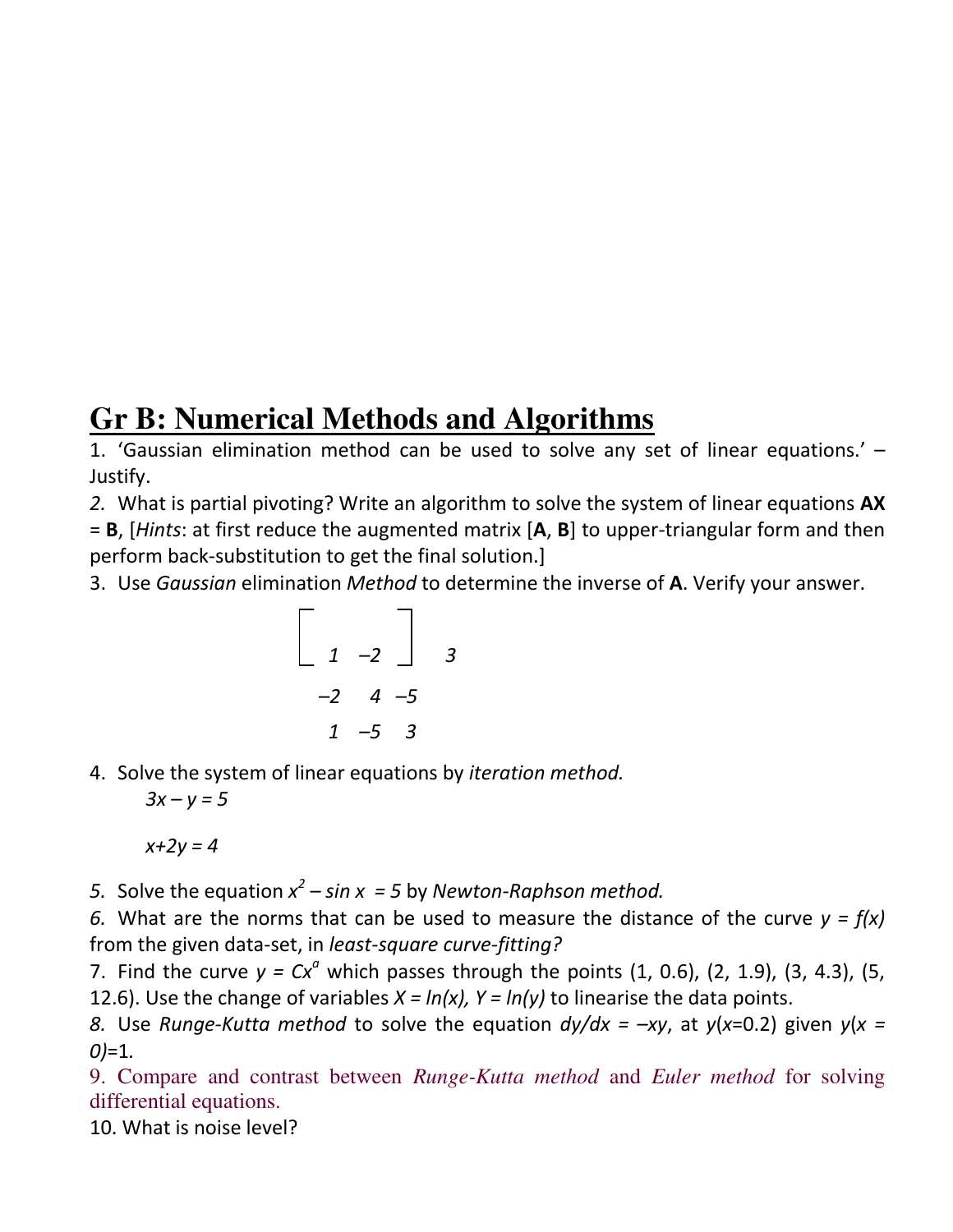## **Gr B: Numerical Methods and Algorithms**

1. 'Gaussian elimination method can be used to solve any set of linear equations.' – Justify.

*2.* What is partial pivoting? Write an algorithm to solve the system of linear equations **AX** = **B**, [*Hints*: at first reduce the augmented matrix [**A**, **B**] to upper-triangular form and then perform back-substitution to get the final solution.]

3. Use *Gaussian* elimination *Method* to determine the inverse of **A**. Verify your answer.

$$
\begin{bmatrix} 1 & -2 & 3 \\ -2 & 4 & -5 \\ 1 & -5 & 3 \end{bmatrix}
$$

4. Solve the system of linear equations by *iteration method.*

 $3x - y = 5$ 

*x+2y = 4* 

5. Solve the equation  $x^2 - \sin x = 5$  by *Newton-Raphson method.* 

*6.* What are the norms that can be used to measure the distance of the curve *y = f(x)* from the given data-set, in *least-square curve-fitting?* 

7. Find the curve  $y = Cx^a$  which passes through the points  $(1, 0.6)$ ,  $(2, 1.9)$ ,  $(3, 4.3)$ ,  $(5, 1.9)$ 12.6). Use the change of variables  $X = ln(x)$ ,  $Y = ln(y)$  to linearise the data points.

*8.* Use *Runge-Kutta method* to solve the equation  $dy/dx = -xy$ , at  $y(x=0.2)$  given  $y(x=0.2)$ *0)*=1*.* 

9. Compare and contrast between *Runge-Kutta method* and *Euler method* for solving differential equations.

10. What is noise level?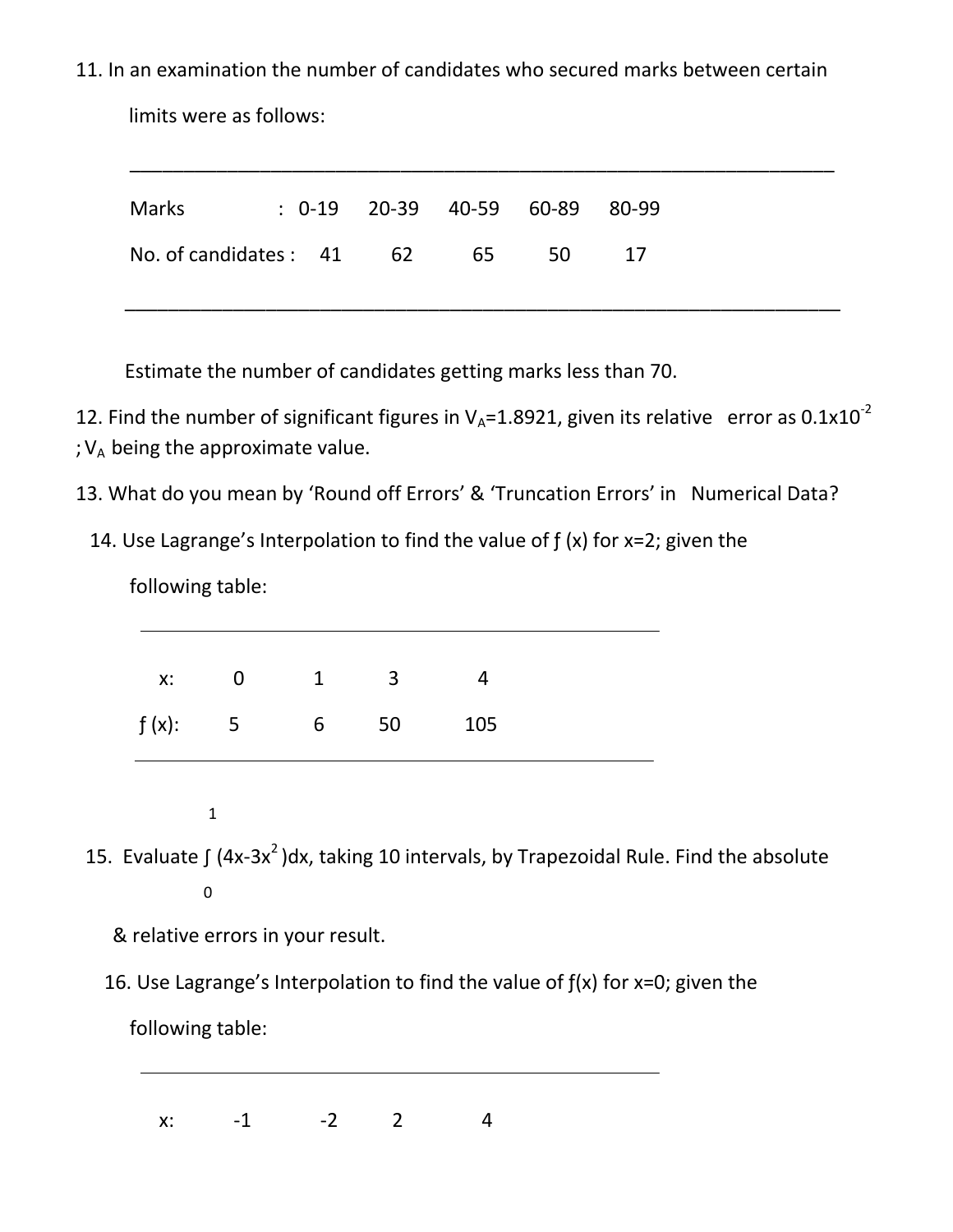11. In an examination the number of candidates who secured marks between certain

\_\_\_\_\_\_\_\_\_\_\_\_\_\_\_\_\_\_\_\_\_\_\_\_\_\_\_\_\_\_\_\_\_\_\_\_\_\_\_\_\_\_\_\_\_\_\_\_\_\_\_\_\_\_\_\_\_\_\_\_\_\_\_\_\_

limits were as follows:

| No. of candidates : 41 62<br>65<br>50<br>-17 | <b>Marks</b> | $: 0-19$ 20-39 40-59 60-89 80-99 |  |  |
|----------------------------------------------|--------------|----------------------------------|--|--|
|                                              |              |                                  |  |  |

Estimate the number of candidates getting marks less than 70.

12. Find the number of significant figures in  $V_A$ =1.8921, given its relative error as 0.1x10<sup>-2</sup>

- ;  $V_A$  being the approximate value.
- 13. What do you mean by 'Round off Errors' & 'Truncation Errors' in Numerical Data?
	- 14. Use Lagrange's Interpolation to find the value of ƒ (x) for x=2; given the

following table:

|  | x: 0 1 3 4         |  |
|--|--------------------|--|
|  | $f(x):$ 5 6 50 105 |  |

1

15. Evaluate  $\int (4x-3x^2)dx$ , taking 10 intervals, by Trapezoidal Rule. Find the absolute 0

& relative errors in your result.

16. Use Lagrange's Interpolation to find the value of  $f(x)$  for  $x=0$ ; given the

following table:

 $x: -1 -2 2 4$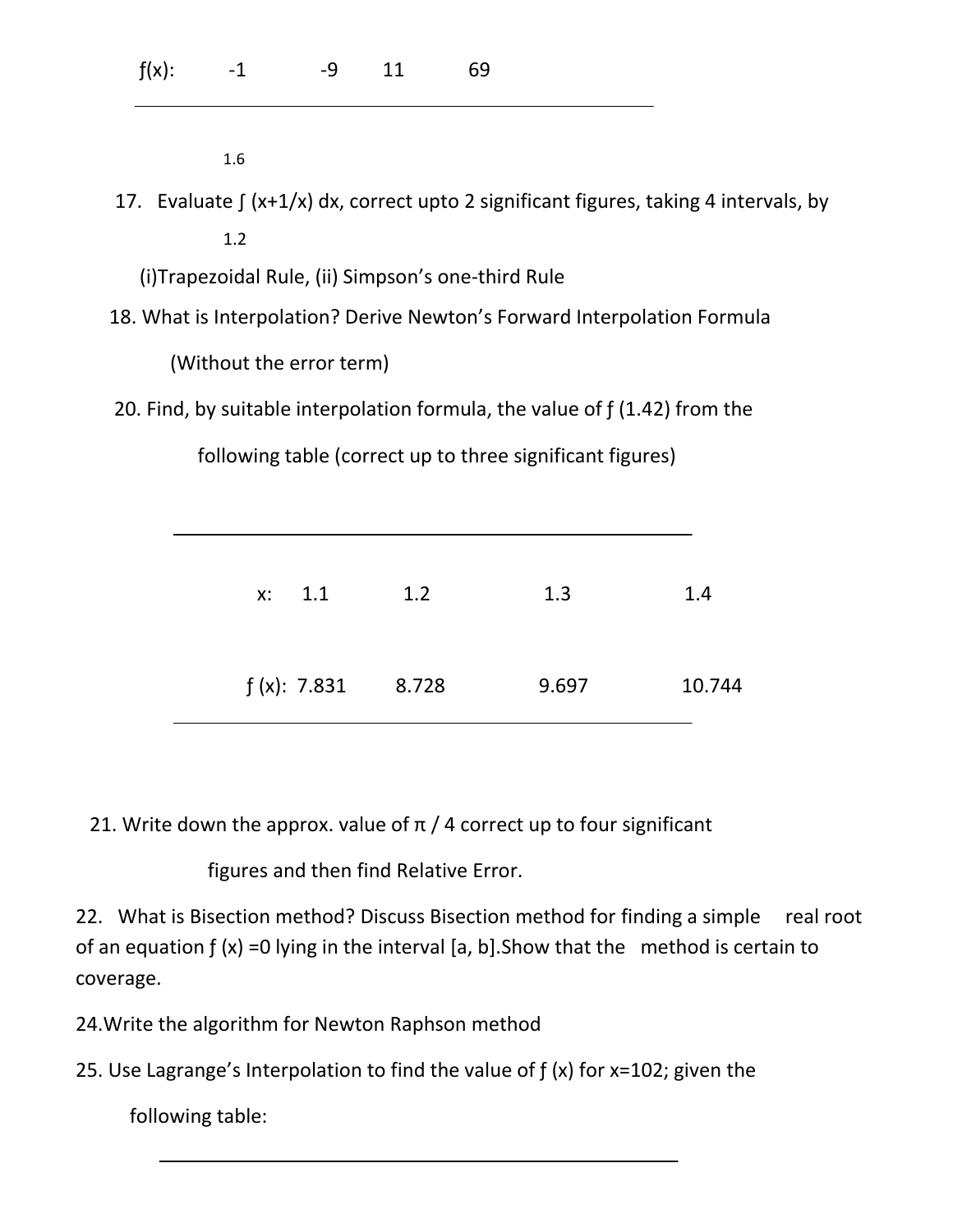|  | $f(x):$ -1 -9 11 69 |  |  |
|--|---------------------|--|--|
|  |                     |  |  |

1.6

 17. Evaluate ∫ (x+1/x) dx, correct upto 2 significant figures, taking 4 intervals, by 1.2

(i)Trapezoidal Rule, (ii) Simpson's one-third Rule

18. What is Interpolation? Derive Newton's Forward Interpolation Formula

(Without the error term)

20. Find, by suitable interpolation formula, the value of  $f(1.42)$  from the

following table (correct up to three significant figures)

| x: 1.1              | 1.2 | 1.3   | 1.4    |
|---------------------|-----|-------|--------|
| $f(x): 7.831$ 8.728 |     | 9.697 | 10.744 |

21. Write down the approx. value of  $\pi$  / 4 correct up to four significant

figures and then find Relative Error.

22. What is Bisection method? Discuss Bisection method for finding a simple real root of an equation  $f(x) = 0$  lying in the interval [a, b]. Show that the method is certain to coverage.

24.Write the algorithm for Newton Raphson method

25. Use Lagrange's Interpolation to find the value of ƒ (x) for x=102; given the

following table: